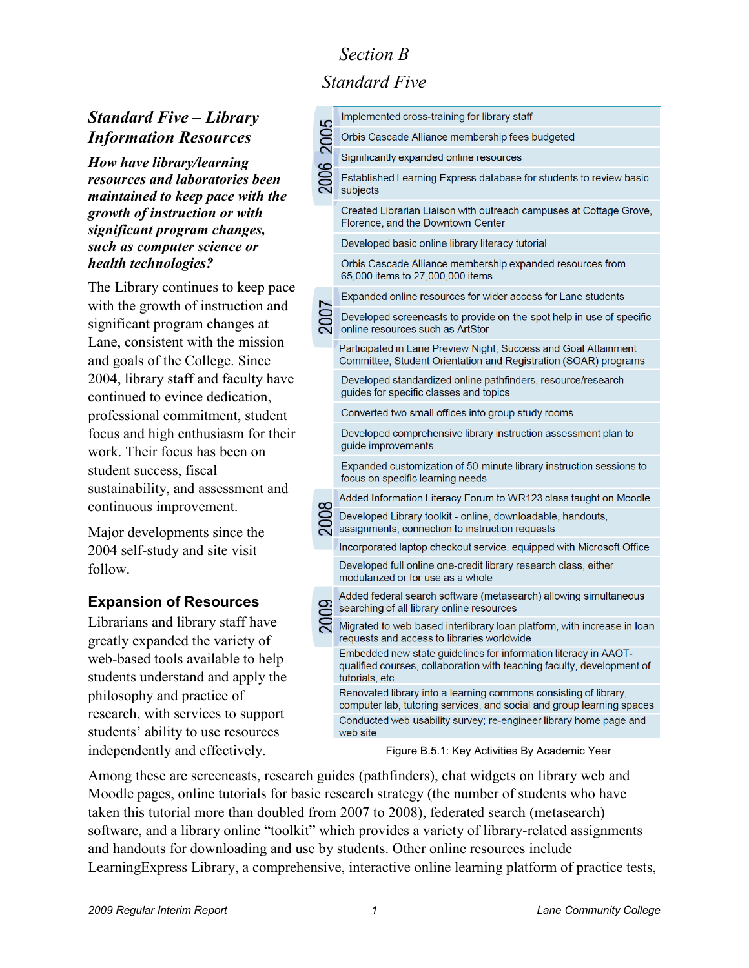# *Section B*

*Standard Five*

# *Standard Five – Library Information Resources*

*How have library/learning resources and laboratories been maintained to keep pace with the growth of instruction or with significant program changes, such as computer science or health technologies?*

The Library continues to keep pace with the growth of instruction and significant program changes at Lane, consistent with the mission and goals of the College. Since 2004, library staff and faculty have continued to evince dedication, professional commitment, student focus and high enthusiasm for their work. Their focus has been on student success, fiscal sustainability, and assessment and continuous improvement.

Major developments since the 2004 self-study and site visit follow.

## **Expansion of Resources**

Librarians and library staff have greatly expanded the variety of web-based tools available to help students understand and apply the philosophy and practice of research, with services to support students' ability to use resources independently and effectively.

|           | Implemented cross-training for library staff                                                                                                                 |
|-----------|--------------------------------------------------------------------------------------------------------------------------------------------------------------|
| 2006 2005 | Orbis Cascade Alliance membership fees budgeted                                                                                                              |
|           | Significantly expanded online resources                                                                                                                      |
|           | Established Learning Express database for students to review basic<br>subjects                                                                               |
|           | Created Librarian Liaison with outreach campuses at Cottage Grove,<br>Florence, and the Downtown Center                                                      |
|           | Developed basic online library literacy tutorial                                                                                                             |
|           | Orbis Cascade Alliance membership expanded resources from<br>65,000 items to 27,000,000 items                                                                |
|           | Expanded online resources for wider access for Lane students                                                                                                 |
|           | Developed screencasts to provide on-the-spot help in use of specific<br>online resources such as ArtStor                                                     |
|           | Participated in Lane Preview Night, Success and Goal Attainment<br>Committee, Student Orientation and Registration (SOAR) programs                           |
|           | Developed standardized online pathfinders, resource/research<br>guides for specific classes and topics                                                       |
|           | Converted two small offices into group study rooms                                                                                                           |
|           | Developed comprehensive library instruction assessment plan to<br>guide improvements                                                                         |
|           | Expanded customization of 50-minute library instruction sessions to<br>focus on specific learning needs                                                      |
|           | Added Information Literacy Forum to WR123 class taught on Moodle                                                                                             |
|           | Developed Library toolkit - online, downloadable, handouts,<br>assignments; connection to instruction requests                                               |
|           | Incorporated laptop checkout service, equipped with Microsoft Office                                                                                         |
|           | Developed full online one-credit library research class, either<br>modularized or for use as a whole                                                         |
|           | Added federal search software (metasearch) allowing simultaneous<br>searching of all library online resources                                                |
|           | Migrated to web-based interlibrary loan platform, with increase in loan<br>requests and access to libraries worldwide                                        |
|           | Embedded new state guidelines for information literacy in AAOT-<br>qualified courses, collaboration with teaching faculty, development of<br>tutorials, etc. |
|           | Renovated library into a learning commons consisting of library,<br>computer lab, tutoring services, and social and group learning spaces                    |
|           | Conducted web usability survey; re-engineer library home page and<br>web site                                                                                |

Figure B.5.1: Key Activities By Academic Year

Among these are screencasts, research guides (pathfinders), chat widgets on library web and Moodle pages, online tutorials for basic research strategy (the number of students who have taken this tutorial more than doubled from 2007 to 2008), federated search (metasearch) software, and a library online "toolkit" which provides a variety of library-related assignments and handouts for downloading and use by students. Other online resources include LearningExpress Library, a comprehensive, interactive online learning platform of practice tests,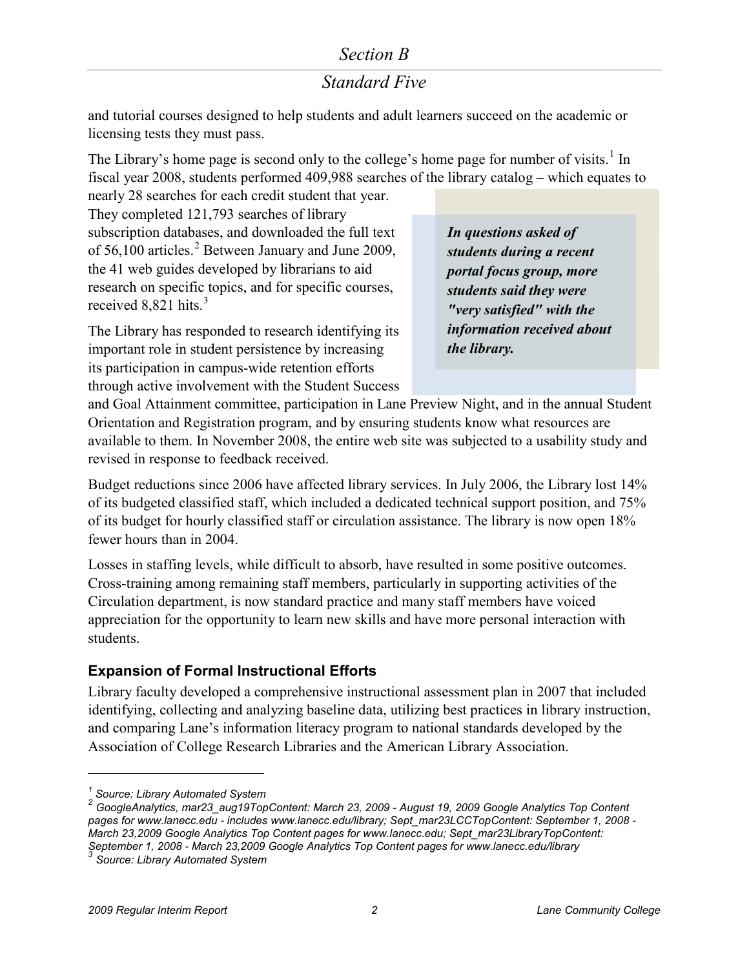## *Section B*

# *Standard Five*

and tutorial courses designed to help students and adult learners succeed on the academic or licensing tests they must pass.

The Library's home page is second only to the college's home page for number of visits.<sup>[1](#page-1-0)</sup> In fiscal year 2008, students performed 409,988 searches of the library catalog – which equates to nearly 28 searches for each credit student that year.

They completed 121,793 searches of library subscription databases, and downloaded the full text of  $56,100$  articles.<sup>[2](#page-1-1)</sup> Between January and June 2009, the 41 web guides developed by librarians to aid research on specific topics, and for specific courses, received  $8,821$  hits.<sup>[3](#page-1-2)</sup>

The Library has responded to research identifying its important role in student persistence by increasing its participation in campus-wide retention efforts through active involvement with the Student Success

*In questions asked of students during a recent portal focus group, more students said they were "very satisfied" with the information received about the library.*

and Goal Attainment committee, participation in Lane Preview Night, and in the annual Student Orientation and Registration program, and by ensuring students know what resources are available to them. In November 2008, the entire web site was subjected to a usability study and revised in response to feedback received.

Budget reductions since 2006 have affected library services. In July 2006, the Library lost 14% of its budgeted classified staff, which included a dedicated technical support position, and 75% of its budget for hourly classified staff or circulation assistance. The library is now open 18% fewer hours than in 2004.

Losses in staffing levels, while difficult to absorb, have resulted in some positive outcomes. Cross-training among remaining staff members, particularly in supporting activities of the Circulation department, is now standard practice and many staff members have voiced appreciation for the opportunity to learn new skills and have more personal interaction with students.

### **Expansion of Formal Instructional Efforts**

Library faculty developed a comprehensive instructional assessment plan in 2007 that included identifying, collecting and analyzing baseline data, utilizing best practices in library instruction, and comparing Lane's information literacy program to national standards developed by the Association of College Research Libraries and the American Library Association.

 $\overline{a}$ 

*<sup>1</sup> Source: Library Automated System*

<span id="page-1-1"></span><span id="page-1-0"></span>*<sup>2</sup> GoogleAnalytics, mar23\_aug19TopContent: March 23, 2009 - August 19, 2009 Google Analytics Top Content pages for [www.lanecc.edu](http://www.lanecc.edu/) - includes [www.lanecc.edu/library;](http://www.lanecc.edu/library) Sept\_mar23LCCTopContent: September 1, 2008 - March 23,2009 Google Analytics Top Content pages fo[r www.lanecc.edu;](http://www.lanecc.edu/) Sept\_mar23LibraryTopContent: September 1, 2008 - March 23,2009 Google Analytics Top Content pages for [www.lanecc.edu/library](http://www.lanecc.edu/library) <sup>3</sup> Source: Library Automated System*

<span id="page-1-2"></span>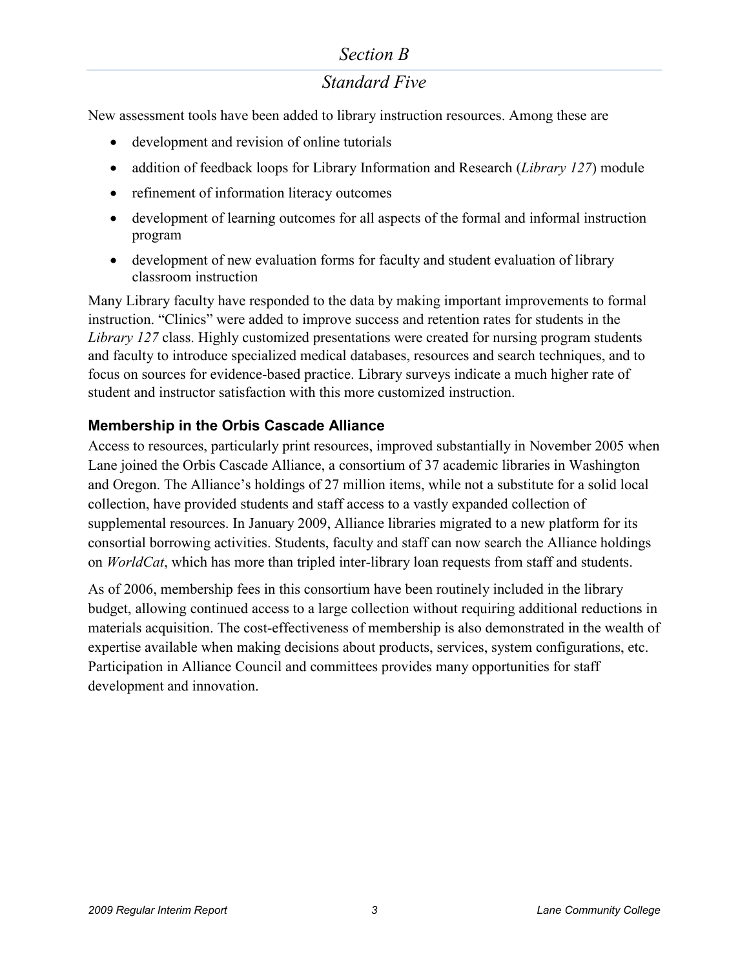## *Section B*

# *Standard Five*

New assessment tools have been added to library instruction resources. Among these are

- development and revision of online tutorials
- addition of feedback loops for Library Information and Research (*Library 127*) module
- refinement of information literacy outcomes
- development of learning outcomes for all aspects of the formal and informal instruction program
- development of new evaluation forms for faculty and student evaluation of library classroom instruction

Many Library faculty have responded to the data by making important improvements to formal instruction. "Clinics" were added to improve success and retention rates for students in the *Library 127* class. Highly customized presentations were created for nursing program students and faculty to introduce specialized medical databases, resources and search techniques, and to focus on sources for evidence-based practice. Library surveys indicate a much higher rate of student and instructor satisfaction with this more customized instruction.

### **Membership in the Orbis Cascade Alliance**

Access to resources, particularly print resources, improved substantially in November 2005 when Lane joined the Orbis Cascade Alliance, a consortium of 37 academic libraries in Washington and Oregon. The Alliance's holdings of 27 million items, while not a substitute for a solid local collection, have provided students and staff access to a vastly expanded collection of supplemental resources. In January 2009, Alliance libraries migrated to a new platform for its consortial borrowing activities. Students, faculty and staff can now search the Alliance holdings on *WorldCat*, which has more than tripled inter-library loan requests from staff and students.

As of 2006, membership fees in this consortium have been routinely included in the library budget, allowing continued access to a large collection without requiring additional reductions in materials acquisition. The cost-effectiveness of membership is also demonstrated in the wealth of expertise available when making decisions about products, services, system configurations, etc. Participation in Alliance Council and committees provides many opportunities for staff development and innovation.